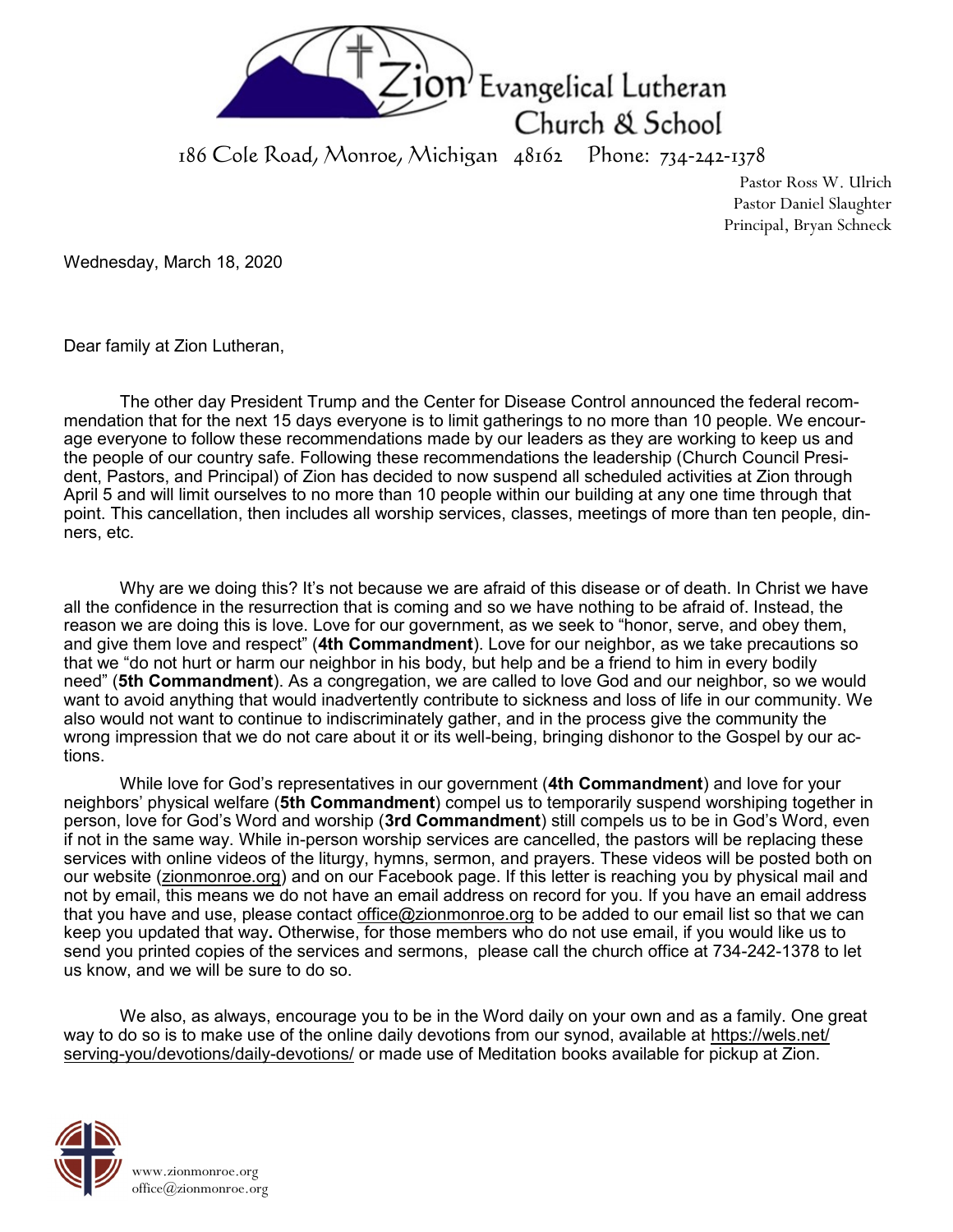

186 Cole Road, Monroe, Michigan 48162 Phone: 734-242-1378

Pastor Ross W. Ulrich Pastor Daniel Slaughter Principal, Bryan Schneck

Wednesday, March 18, 2020

Dear family at Zion Lutheran,

The other day President Trump and the Center for Disease Control announced the federal recommendation that for the next 15 days everyone is to limit gatherings to no more than 10 people. We encourage everyone to follow these recommendations made by our leaders as they are working to keep us and the people of our country safe. Following these recommendations the leadership (Church Council President, Pastors, and Principal) of Zion has decided to now suspend all scheduled activities at Zion through April 5 and will limit ourselves to no more than 10 people within our building at any one time through that point. This cancellation, then includes all worship services, classes, meetings of more than ten people, dinners, etc.

Why are we doing this? It's not because we are afraid of this disease or of death. In Christ we have all the confidence in the resurrection that is coming and so we have nothing to be afraid of. Instead, the reason we are doing this is love. Love for our government, as we seek to "honor, serve, and obey them, and give them love and respect" (**4th Commandment**). Love for our neighbor, as we take precautions so that we "do not hurt or harm our neighbor in his body, but help and be a friend to him in every bodily need" (**5th Commandment**). As a congregation, we are called to love God and our neighbor, so we would want to avoid anything that would inadvertently contribute to sickness and loss of life in our community. We also would not want to continue to indiscriminately gather, and in the process give the community the wrong impression that we do not care about it or its well-being, bringing dishonor to the Gospel by our actions.

While love for God's representatives in our government (**4th Commandment**) and love for your neighbors' physical welfare (**5th Commandment**) compel us to temporarily suspend worshiping together in person, love for God's Word and worship (**3rd Commandment**) still compels us to be in God's Word, even if not in the same way. While in-person worship services are cancelled, the pastors will be replacing these services with online videos of the liturgy, hymns, sermon, and prayers. These videos will be posted both on our website [\(zionmonroe.org\)](http://zionmonroe.org) and on our Facebook page. If this letter is reaching you by physical mail and not by email, this means we do not have an email address on record for you. If you have an email address that you have and use, please contact [office@zionmonroe.org](mailto:office@zionmonroe.org) to be added to our email list so that we can keep you updated that way**.** Otherwise, for those members who do not use email, if you would like us to send you printed copies of the services and sermons, please call the church office at 734-242-1378 to let us know, and we will be sure to do so.

We also, as always, encourage you to be in the Word daily on your own and as a family. One great way to do so is to make use of the online daily devotions from our synod, available at [https://wels.net/](https://wels.net/serving-you/devotions/daily-devotions/) serving-[you/devotions/daily](https://wels.net/serving-you/devotions/daily-devotions/)-devotions/ or made use of Meditation books available for pickup at Zion.